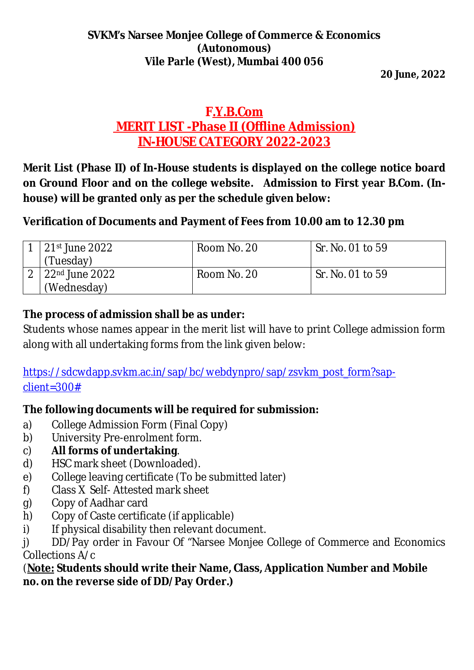#### **SVKM's Narsee Monjee College of Commerce & Economics (Autonomous) Vile Parle (West), Mumbai 400 056**

**20 June, 2022**

# **F.Y.B.Com MERIT LIST -Phase II (Offline Admission) IN-HOUSE CATEGORY 2022-2023**

**Merit List (Phase II) of In-House students is displayed on the college notice board on Ground Floor and on the college website. Admission to First year B.Com. (Inhouse) will be granted only as per the schedule given below:**

## **Verification of Documents and Payment of Fees from 10.00 am to 12.30 pm**

| 21st June 2022                | Room No. 20 | Sr. No. 01 to 59 |
|-------------------------------|-------------|------------------|
| 'Tuesday)                     |             |                  |
| l 22 <sup>nd</sup> June 2022. | Room No. 20 | Sr. No. 01 to 59 |
| (Wednesday)                   |             |                  |

### **The process of admission shall be as under:**

Students whose names appear in the merit list will have to print College admission form along with all undertaking forms from the link given below:

[https://sdcwdapp.svkm.ac.in/sap/bc/webdynpro/sap/zsvkm\\_post\\_form?sap](https://sdcwdapp.svkm.ac.in/sap/bc/webdynpro/sap/zsvkm_post_form?sap-)client=300#

### **The following documents will be required for submission:**

- a) College Admission Form (Final Copy)
- b) University Pre-enrolment form.
- c) **All forms of undertaking**.
- d) HSC mark sheet (Downloaded).
- e) College leaving certificate (To be submitted later)
- f) Class X Self- Attested mark sheet
- g) Copy of Aadhar card
- h) Copy of Caste certificate (if applicable)
- i) If physical disability then relevant document.

j) DD/Pay order in Favour Of "Narsee Monjee College of Commerce and Economics Collections A/c

(**Note: Students should write their Name, Class, Application Number and Mobile no. on the reverse side of DD/Pay Order.)**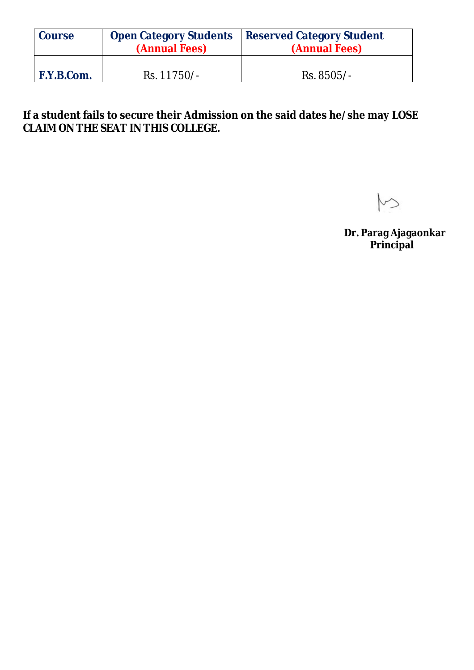| <b>Course</b> | <b>Open Category Students</b><br>(Annual Fees) | <b>Reserved Category Student</b><br>(Annual Fees) |  |
|---------------|------------------------------------------------|---------------------------------------------------|--|
| F.Y.B.Com.    | Rs. 11750/-                                    | Rs. 8505/-                                        |  |

**If a student fails to secure their Admission on the said dates he/she may LOSE CLAIM ON THE SEAT IN THIS COLLEGE.** 

◇

**Dr. Parag Ajagaonkar Principal**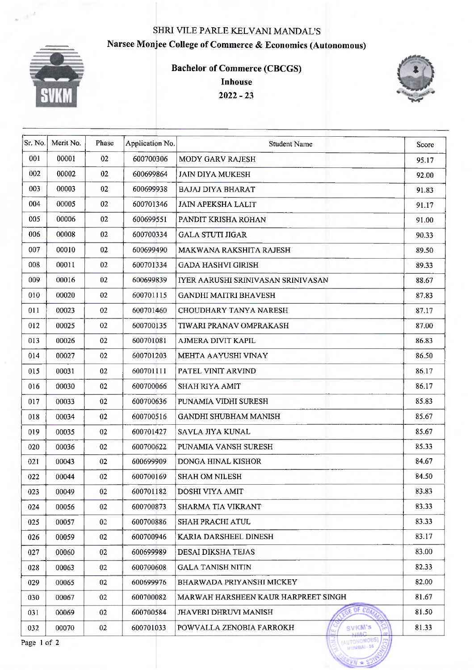#### SHRI VILE PARLE KELVANI MANDAL'S Narsee Monjee College of Commerce & Economics (Autonomous)



**Bachelor of Commerce (CBCGS) Inhouse**  $2022 - 23$ 



MUMBAI-56 ÷

| Sr. No.     | Merit No. | Phase  | Application No. | <b>Student Name</b>                         | Score |
|-------------|-----------|--------|-----------------|---------------------------------------------|-------|
| 001         | 00001     | 02     | 600700306       | MODY GARV RAJESH                            | 95.17 |
| 002         | 00002     | 02     | 600699864       | <b>JAIN DIYA MUKESH</b>                     | 92.00 |
| 003         | 00003     | 02     | 600699938       | <b>BAJAJ DIYA BHARAT</b>                    | 91.83 |
| 004         | 00005     | 02     | 600701346       | JAIN APEKSHA LALIT                          | 91.17 |
| 005         | 00006     | 02     | 600699551       | PANDIT KRISHA ROHAN                         | 91.00 |
| 006         | 00008     | 02     | 600700334       | <b>GALA STUTI JIGAR</b>                     | 90.33 |
| 007         | 00010     | 02     | 600699490       | <b>MAKWANA RAKSHITA RAJESH</b>              | 89.50 |
| 008         | 00011     | 02     | 600701334       | <b>GADA HASHVI GIRISH</b>                   | 89.33 |
| 009         | 00016     | 02     | 600699839       | IYER AARUSHI SRINIVASAN SRINIVASAN          | 88.67 |
| 010         | 00020     | 02     | 600701115       | <b>GANDHI MAITRI BHAVESH</b>                | 87.83 |
| 011         | 00023     | 02     | 600701460       | CHOUDHARY TANYA NARESH                      | 87.17 |
| 012         | 00025     | 02     | 600700135       | TIWARI PRANAV OMPRAKASH                     | 87.00 |
| 013         | 00026     | 02     | 600701081       | AJMERA DIVIT KAPIL                          | 86.83 |
| 014         | 00027     | 02     | 600701203       | MEHTA AAYUSHI VINAY                         | 86.50 |
| 015         | 00031     | 02     | 600701111       | PATEL VINIT ARVIND                          | 86.17 |
| 016         | 00030     | 02     | 600700066       | <b>SHAH RIYA AMIT</b>                       | 86.17 |
| 017         | 00033     | 02     | 600700636       | PUNAMIA VIDHI SURESH                        | 85.83 |
| 018         | 00034     | 02     | 600700516       | <b>GANDHI SHUBHAM MANISH</b>                | 85.67 |
| 019         | 00035     | 02     | 600701427       | SAVLA JIYA KUNAL                            | 85.67 |
| 020         | 00036     | 02     | 600700622       | PUNAMIA VANSH SURESH                        | 85.33 |
| 021         | 00043     | $02\,$ | 600699909       | DONGA HINAL KISHOR                          | 84.67 |
| 022         | 00044     | 02     | 600700169       | <b>SHAH OM NILESH</b>                       | 84.50 |
| 023         | 00049     | 02     | 600701182       | DOSHI VIYA AMIT                             | 83.83 |
| 024         | 00056     | 02     | 600700873       | SHARMA TIA VIKRANT                          | 83.33 |
| 025         | 00057     | 02     | 600700886       | SHAH PRACHI ATUL                            | 83.33 |
| 026         | 00059     | 02     | 600700946       | KARIA DARSHEEL DINESH                       | 83.17 |
| 027         | 00060     | 02     | 600699989       | <b>DESAI DIKSHA TEJAS</b>                   | 83.00 |
| 028         | 00063     | 02     | 600700608       | <b>GALA TANISH NITIN</b>                    | 82.33 |
| 029         | 00065     | 02     | 600699976       | <b>BHARWADA PRIYANSHI MICKEY</b>            | 82.00 |
| 030         | 00067     | 02     | 600700082       | MARWAH HARSHEEN KAUR HARPREET SINGH         | 81.67 |
| 031         | 00069     | 02     | 600700584       | $E$ OF $CO$<br><b>JHAVERI DHRUVI MANISH</b> | 81.50 |
| 032         | 00070     | 02     | 600701033       | SVKM's<br>POWVALLA ZENOBIA FARROKH          | 81.33 |
| Page 1 of 2 |           |        |                 | AUTONOMOUS)                                 |       |

Page 1 of 2